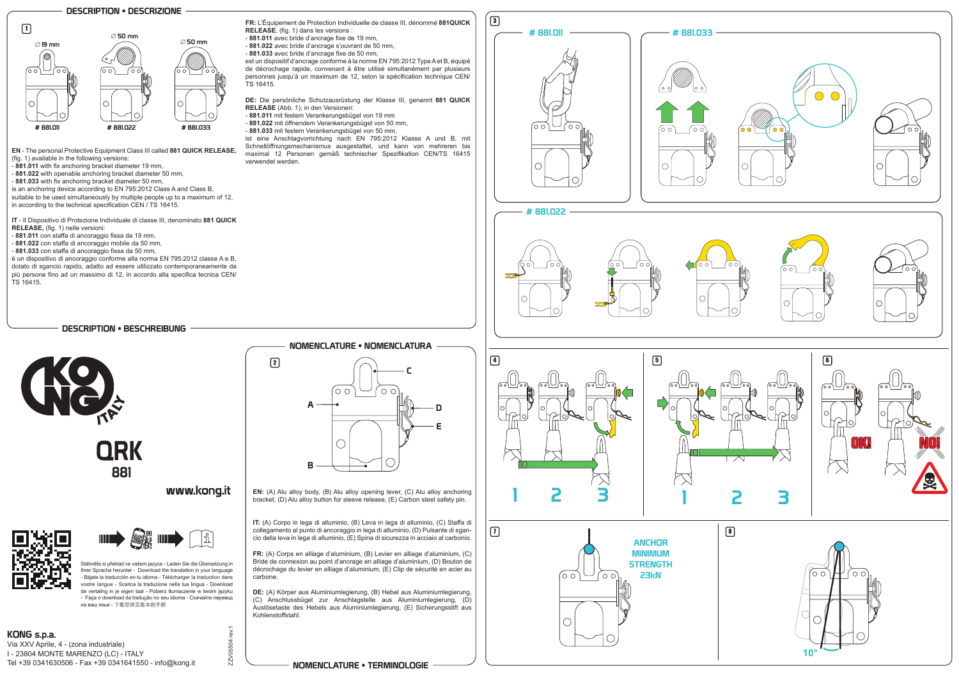Via XXV Aprile, 4 - (zona industriale) I - 23804 MONTE MARENZO (LC) - ITALY Tel +39 0341630506 - Fax +39 0341641550 - info@kong.it

## NOMENCLATURE • TERMINOLOGIE